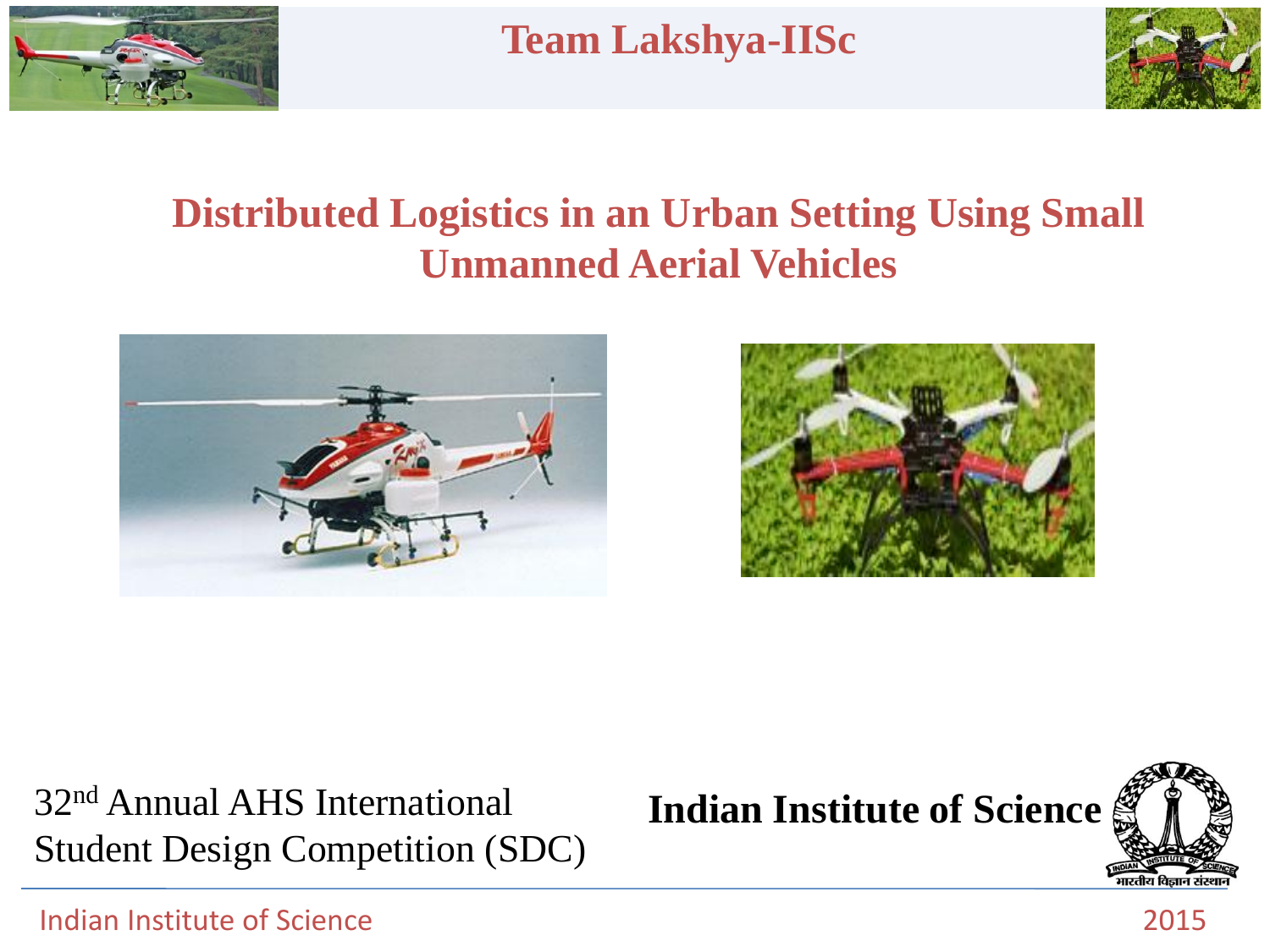



# **Distributed Logistics in an Urban Setting Using Small Unmanned Aerial Vehicles**





32nd Annual AHS International Student Design Competition (SDC)

**Indian Institute of Science**

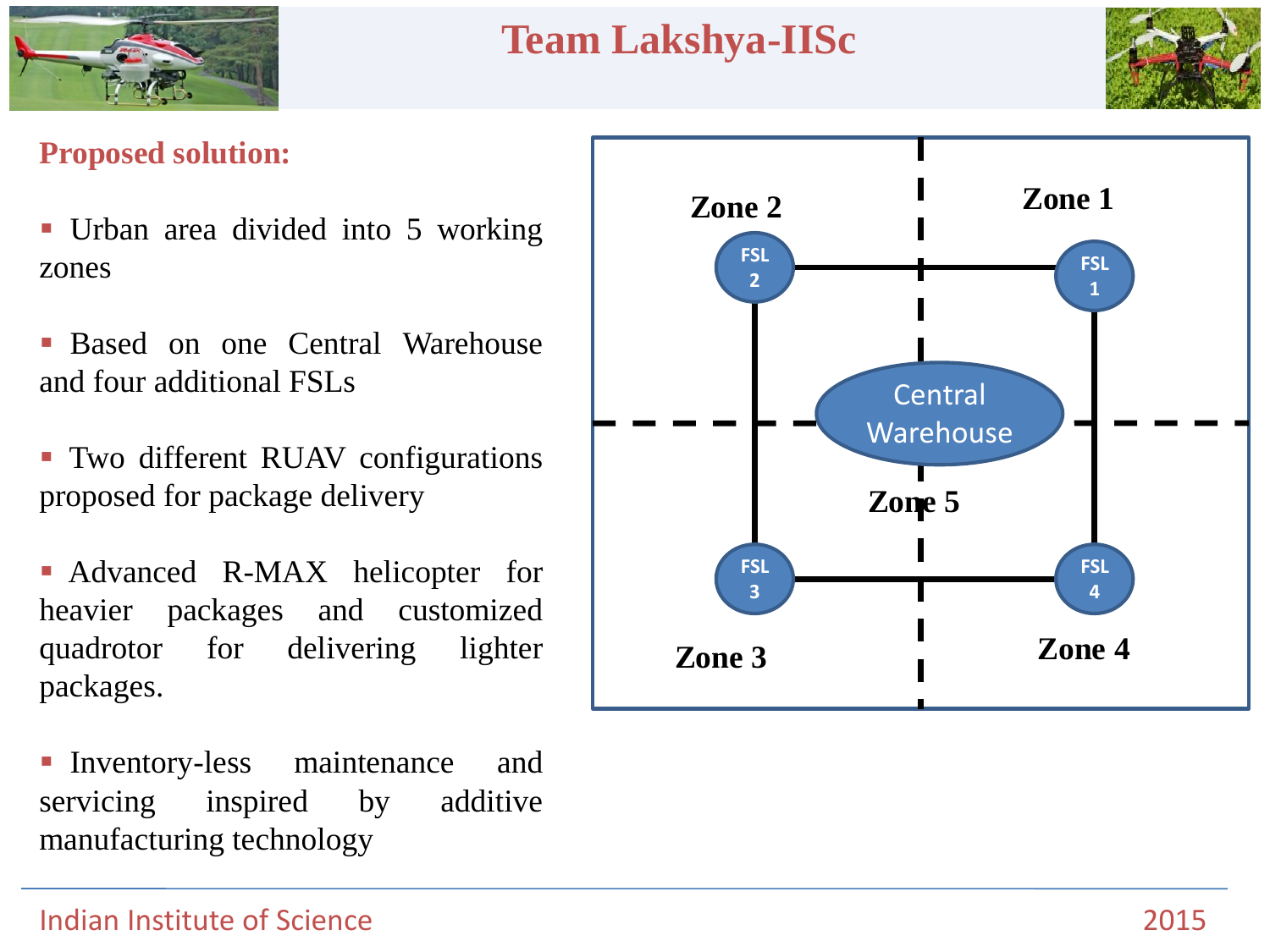



### **Proposed solution:**

- Urban area divided into 5 working zones
- Based on one Central Warehouse and four additional FSLs
- Two different RUAV configurations proposed for package delivery
- Advanced R-MAX helicopter for heavier packages and customized quadrotor for delivering lighter packages.
- Inventory-less maintenance and servicing inspired by additive manufacturing technology

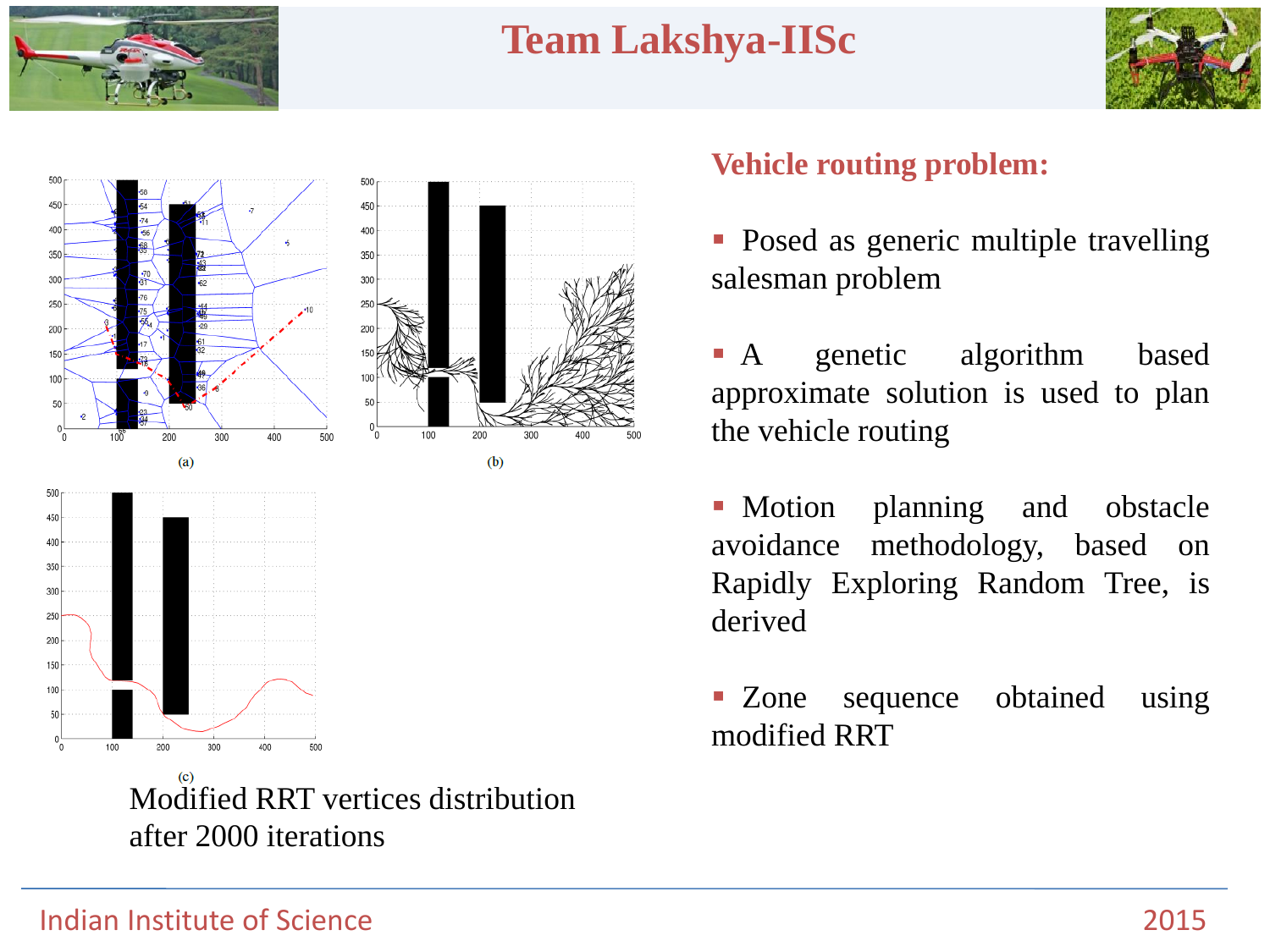





Modified RRT vertices distribution after 2000 iterations

### **Vehicle routing problem:**

- Posed as generic multiple travelling salesman problem
- A genetic algorithm based approximate solution is used to plan the vehicle routing
- **Motion** planning and obstacle avoidance methodology, based on Rapidly Exploring Random Tree, is derived

**Zone** sequence obtained using modified RRT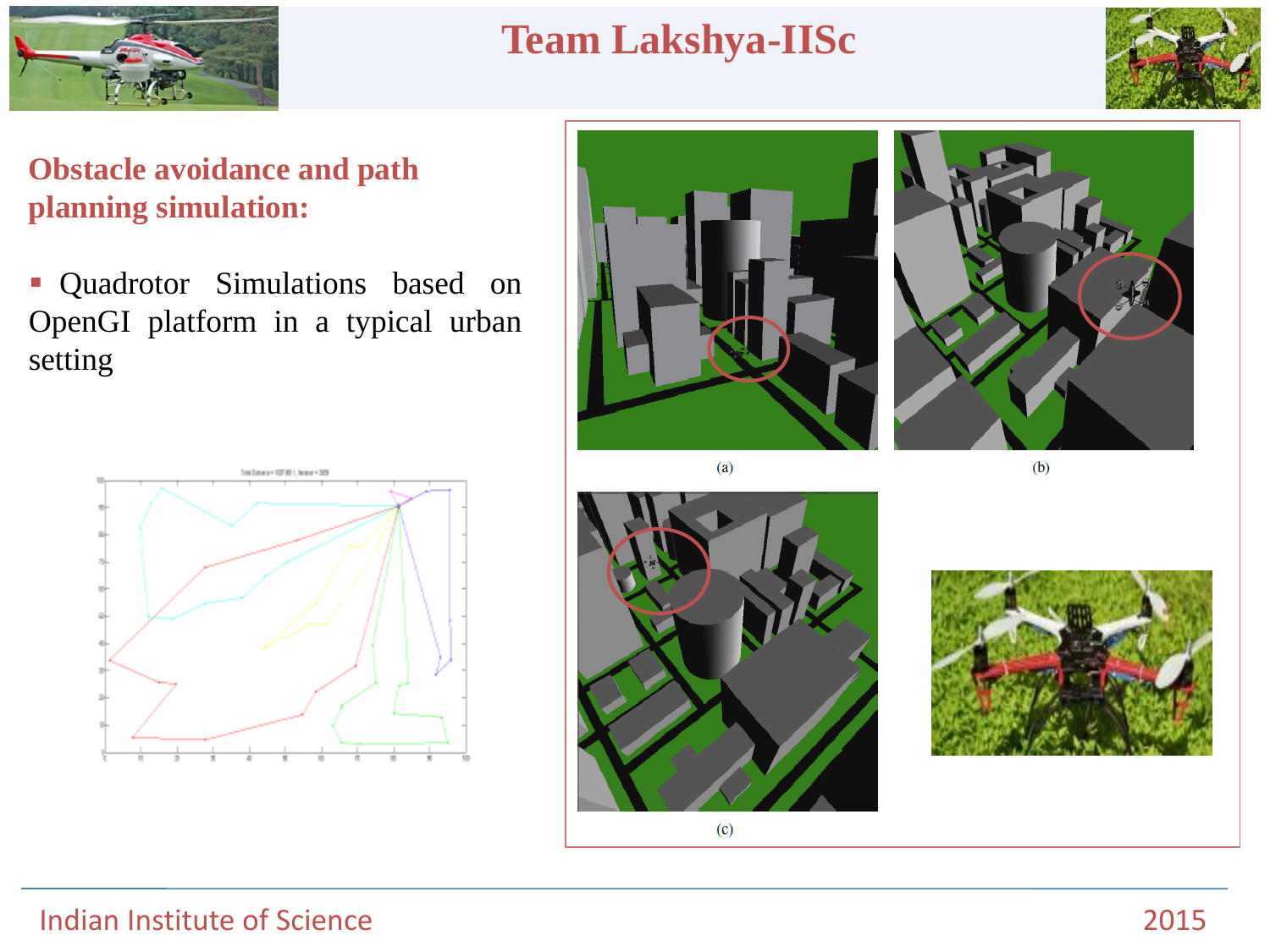



## **Obstacle avoidance and path planning simulation:**

 Quadrotor Simulations based on OpenGI platform in a typical urban setting



 $(a)$ 







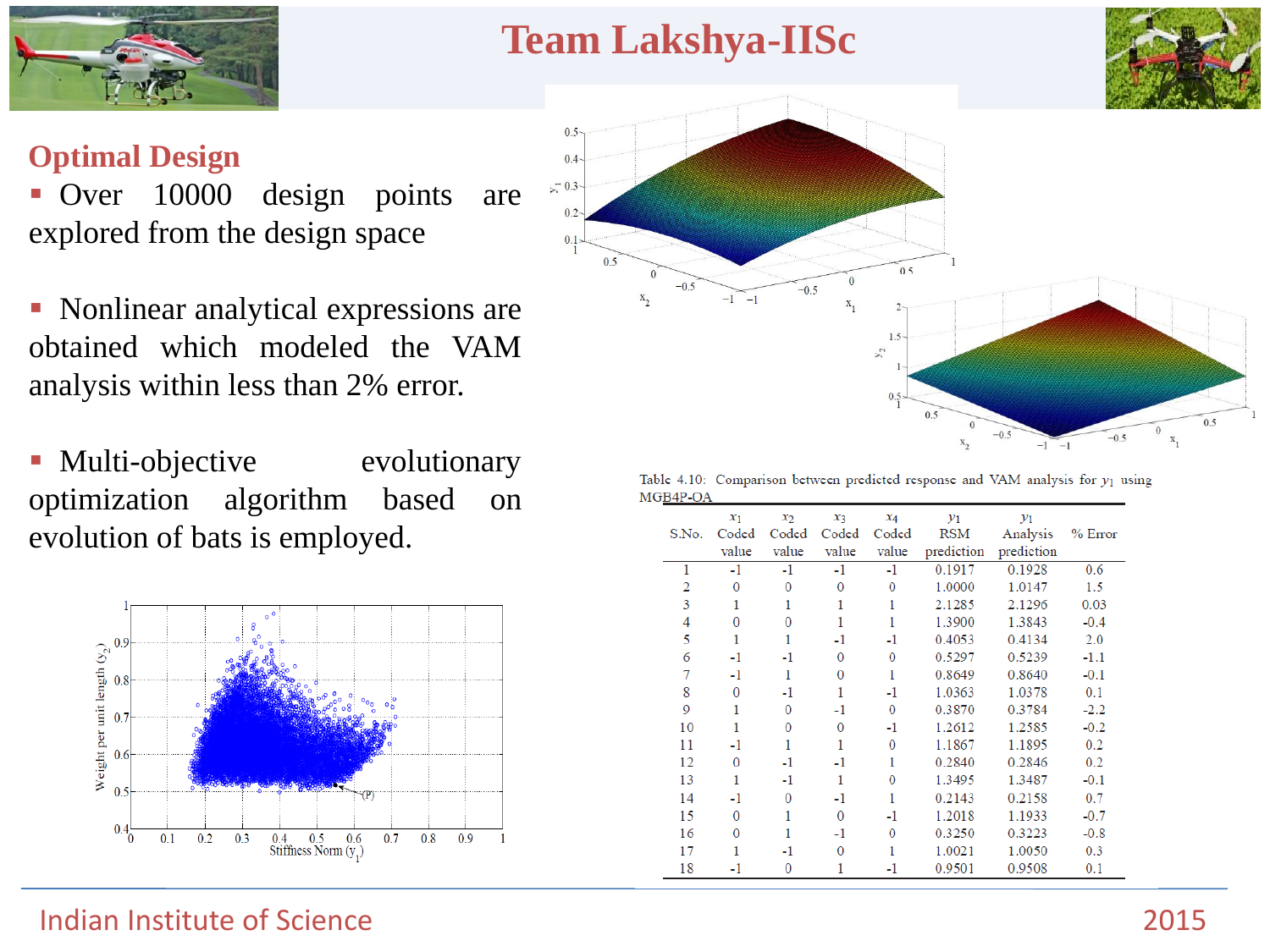



### **Optimal Design**

 Over 10000 design points are explored from the design space

• Nonlinear analytical expressions are obtained which modeled the VAM analysis within less than 2% error.

• Multi-objective evolutionary optimization algorithm based on evolution of bats is employed.





Table 4.10: Comparison between predicted response and VAM analysis for  $y_1$  using MGB4P-OA

| S.No. | $x_1$<br>Coded<br>value | $x_2$<br>Coded<br>value | $x_3$<br>Coded<br>value | $x_4$<br>Coded<br>value | $y_1$<br>RSM<br>prediction | $y_1$<br>Analysis<br>prediction | % Error |
|-------|-------------------------|-------------------------|-------------------------|-------------------------|----------------------------|---------------------------------|---------|
| 1     | $-1$                    | $-1$                    | $-1$                    | $-1$                    | 0.1917                     | 0.1928                          | 0.6     |
| 2     | $\theta$                | $\theta$                | $\Omega$                | $\Omega$                | 1.0000                     | 1.0147                          | 1.5     |
| 3     | 1                       |                         |                         |                         | 2.1285                     | 2.1296                          | 0.03    |
| 4     | 0                       | $\Omega$                | 1                       |                         | 1.3900                     | 1.3843                          | $-0.4$  |
| 5     | 1                       | 1                       | $-1$                    | $-1$                    | 0.4053                     | 0.4134                          | 2.0     |
| 6     | -1                      | -1                      | $\Omega$                | 0                       | 0.5297                     | 0.5239                          | $-1.1$  |
| 7     | $-1$                    | 1                       | $\Omega$                |                         | 0.8649                     | 0.8640                          | $-0.1$  |
| 8     | $\Omega$                | $-1$                    | 1                       | -1                      | 1.0363                     | 1.0378                          | 0.1     |
| 9     | 1                       | $\Omega$                | $-1$                    | $\Omega$                | 0.3870                     | 0.3784                          | $-2.2$  |
| 10    | 1                       | $\theta$                | $\Omega$                | -1                      | 1.2612                     | 1.2585                          | $-0.2$  |
| 11    | $-1$                    | 1                       | 1                       | $\Omega$                | 1.1867                     | 1.1895                          | 0.2     |
| 12    | $\Omega$                | -1                      | -1                      |                         | 0.2840                     | 0.2846                          | 0.2     |
| 13    | 1                       | -1                      | 1                       | $\Omega$                | 1.3495                     | 1.3487                          | $-0.1$  |
| 14    | -1                      | $\Omega$                | -1                      | 1                       | 0.2143                     | 0.2158                          | 0.7     |
| 15    | 0                       | 1                       | $\Omega$                | -1                      | 1.2018                     | 1.1933                          | $-0.7$  |
| 16    | 0                       |                         | -1                      | 0                       | 0.3250                     | 0.3223                          | $-0.8$  |
| 17    | 1                       | -1                      | $\Omega$                |                         | 1.0021                     | 1.0050                          | 0.3     |
| 18    | -1                      | 0                       |                         | -1                      | 0.9501                     | 0.9508                          | 0.1     |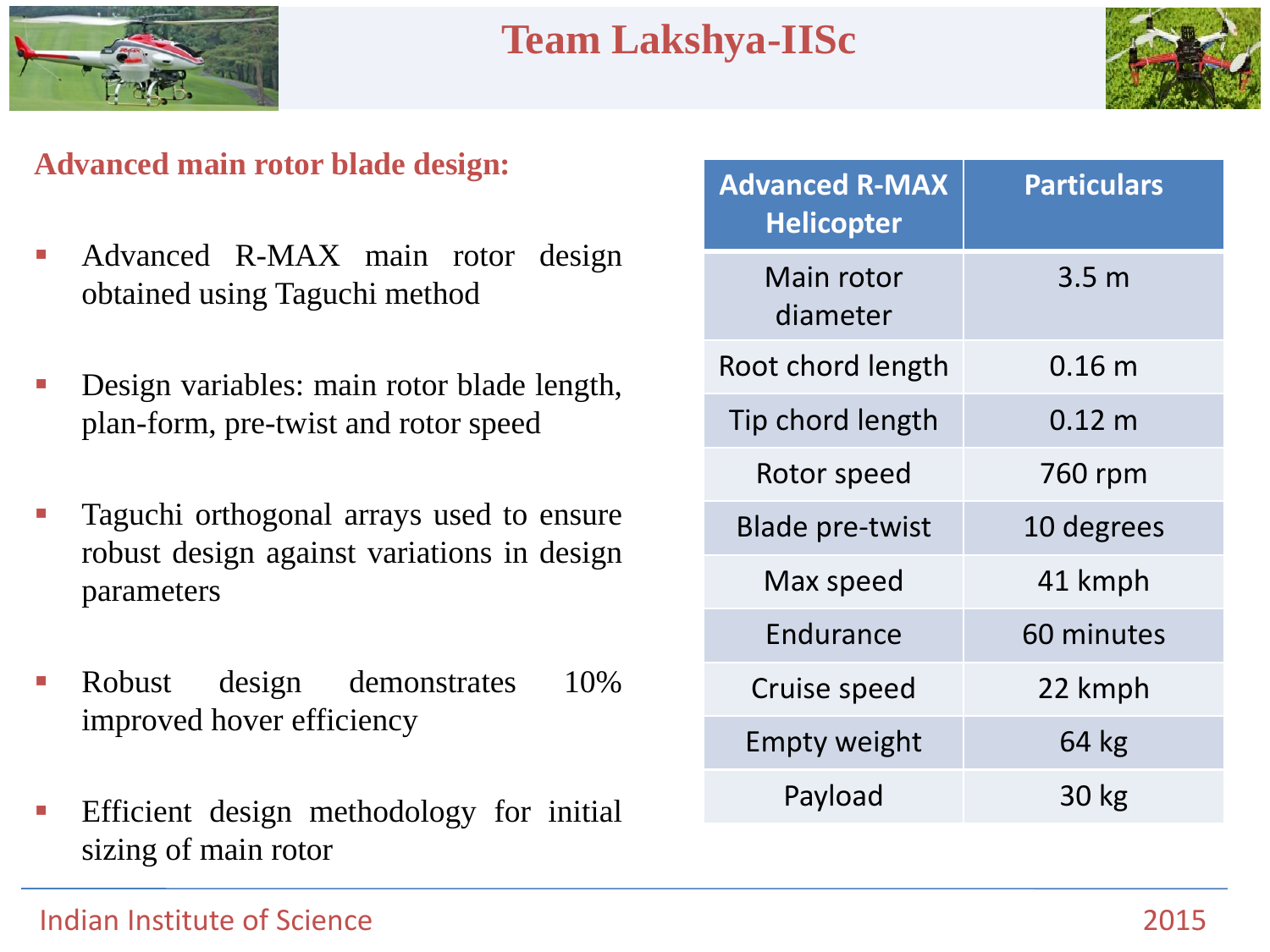



### **Advanced main rotor blade design:**

- Advanced R-MAX main rotor design obtained using Taguchi method
- Design variables: main rotor blade length, plan-form, pre-twist and rotor speed
- Taguchi orthogonal arrays used to ensure robust design against variations in design parameters
- Robust design demonstrates 10% improved hover efficiency
- Efficient design methodology for initial sizing of main rotor

| <b>Advanced R-MAX</b><br><b>Helicopter</b> | <b>Particulars</b> |  |  |
|--------------------------------------------|--------------------|--|--|
| Main rotor<br>diameter                     | 3.5 <sub>m</sub>   |  |  |
| Root chord length                          | 0.16 <sub>m</sub>  |  |  |
| Tip chord length                           | $0.12 \; m$        |  |  |
| Rotor speed                                | 760 rpm            |  |  |
| <b>Blade pre-twist</b>                     | 10 degrees         |  |  |
| Max speed                                  | 41 kmph            |  |  |
| Endurance                                  | 60 minutes         |  |  |
| Cruise speed                               | 22 kmph            |  |  |
| <b>Empty weight</b>                        | 64 kg              |  |  |
| Payload                                    | 30 kg              |  |  |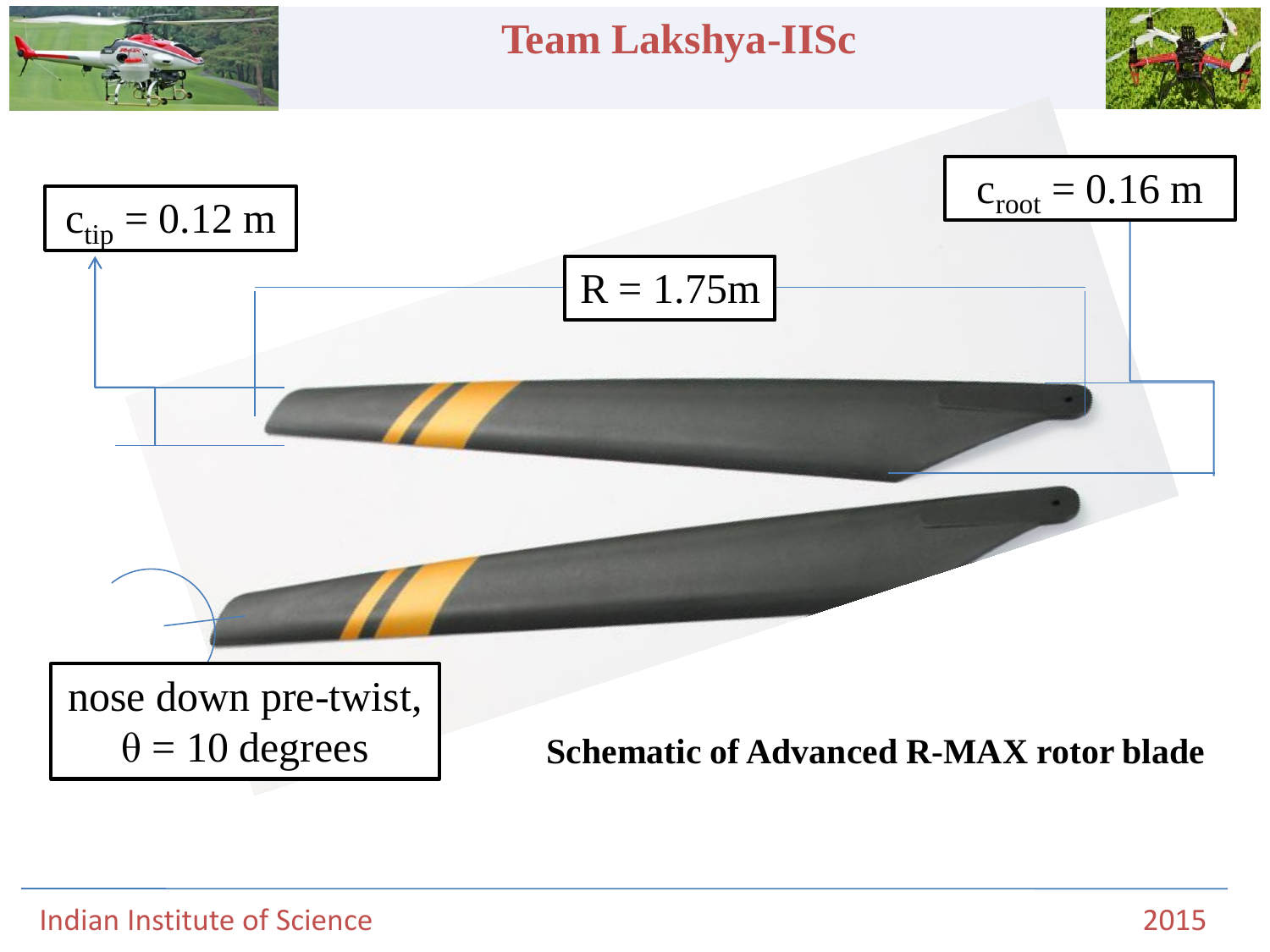